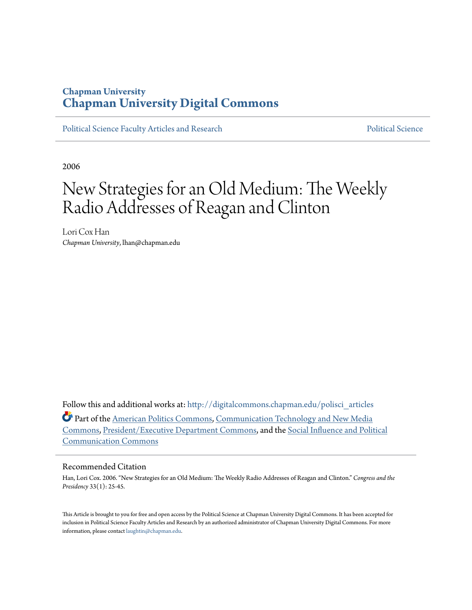### **Chapman University [Chapman University Digital Commons](http://digitalcommons.chapman.edu?utm_source=digitalcommons.chapman.edu%2Fpolisci_articles%2F1&utm_medium=PDF&utm_campaign=PDFCoverPages)**

[Political Science Faculty Articles and Research](http://digitalcommons.chapman.edu/polisci_articles?utm_source=digitalcommons.chapman.edu%2Fpolisci_articles%2F1&utm_medium=PDF&utm_campaign=PDFCoverPages) [Political Science](http://digitalcommons.chapman.edu/politicalscience?utm_source=digitalcommons.chapman.edu%2Fpolisci_articles%2F1&utm_medium=PDF&utm_campaign=PDFCoverPages) Political Science

2006

# New Strategies for an Old Medium: The Weekly Radio Addresses of Reagan and Clinton

Lori Cox Han *Chapman University*, lhan@chapman.edu

Follow this and additional works at: [http://digitalcommons.chapman.edu/polisci\\_articles](http://digitalcommons.chapman.edu/polisci_articles?utm_source=digitalcommons.chapman.edu%2Fpolisci_articles%2F1&utm_medium=PDF&utm_campaign=PDFCoverPages) Part of the [American Politics Commons](http://network.bepress.com/hgg/discipline/387?utm_source=digitalcommons.chapman.edu%2Fpolisci_articles%2F1&utm_medium=PDF&utm_campaign=PDFCoverPages), [Communication Technology and New Media](http://network.bepress.com/hgg/discipline/327?utm_source=digitalcommons.chapman.edu%2Fpolisci_articles%2F1&utm_medium=PDF&utm_campaign=PDFCoverPages) [Commons,](http://network.bepress.com/hgg/discipline/327?utm_source=digitalcommons.chapman.edu%2Fpolisci_articles%2F1&utm_medium=PDF&utm_campaign=PDFCoverPages) [President/Executive Department Commons,](http://network.bepress.com/hgg/discipline/1118?utm_source=digitalcommons.chapman.edu%2Fpolisci_articles%2F1&utm_medium=PDF&utm_campaign=PDFCoverPages) and the [Social Influence and Political](http://network.bepress.com/hgg/discipline/337?utm_source=digitalcommons.chapman.edu%2Fpolisci_articles%2F1&utm_medium=PDF&utm_campaign=PDFCoverPages) [Communication Commons](http://network.bepress.com/hgg/discipline/337?utm_source=digitalcommons.chapman.edu%2Fpolisci_articles%2F1&utm_medium=PDF&utm_campaign=PDFCoverPages)

#### Recommended Citation

Han, Lori Cox. 2006. "New Strategies for an Old Medium: The Weekly Radio Addresses of Reagan and Clinton." *Congress and the Presidency* 33(1): 25-45.

This Article is brought to you for free and open access by the Political Science at Chapman University Digital Commons. It has been accepted for inclusion in Political Science Faculty Articles and Research by an authorized administrator of Chapman University Digital Commons. For more information, please contact [laughtin@chapman.edu](mailto:laughtin@chapman.edu).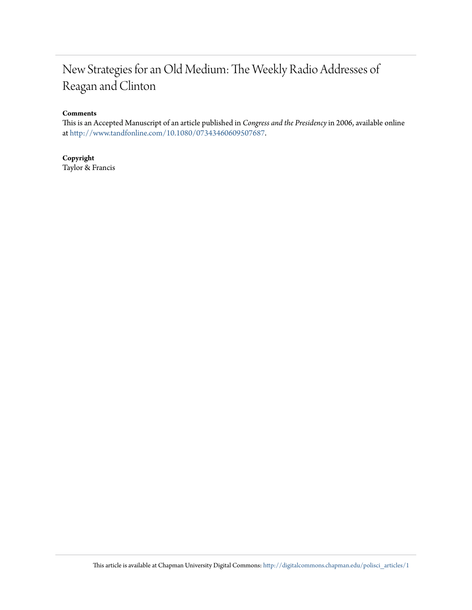## New Strategies for an Old Medium: The Weekly Radio Addresses of Reagan and Clinton

#### **Comments**

This is an Accepted Manuscript of an article published in *Congress and the Presidency*in 2006, available online at [http://www.tandfonline.com/10.1080/07343460609507687.](http://www.tandfonline.com/10.1080/07343460609507687)

#### **Copyright**

Taylor & Francis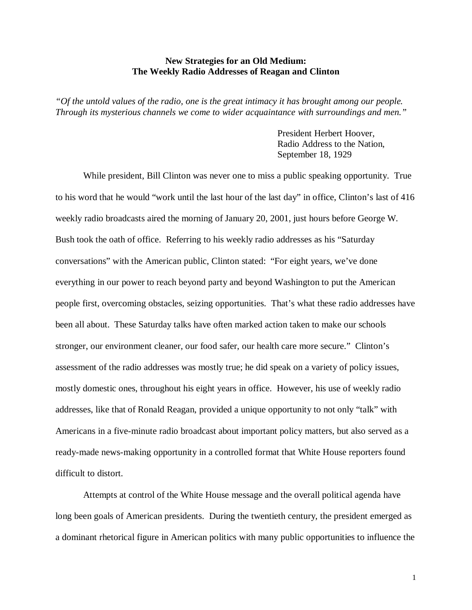#### **New Strategies for an Old Medium: The Weekly Radio Addresses of Reagan and Clinton**

*"Of the untold values of the radio, one is the great intimacy it has brought among our people. Through its mysterious channels we come to wider acquaintance with surroundings and men."*

> President Herbert Hoover, Radio Address to the Nation, September 18, 1929

While president, Bill Clinton was never one to miss a public speaking opportunity. True to his word that he would "work until the last hour of the last day" in office, Clinton's last of 416 weekly radio broadcasts aired the morning of January 20, 2001, just hours before George W. Bush took the oath of office. Referring to his weekly radio addresses as his "Saturday conversations" with the American public, Clinton stated: "For eight years, we've done everything in our power to reach beyond party and beyond Washington to put the American people first, overcoming obstacles, seizing opportunities. That's what these radio addresses have been all about. These Saturday talks have often marked action taken to make our schools stronger, our environment cleaner, our food safer, our health care more secure." Clinton's assessment of the radio addresses was mostly true; he did speak on a variety of policy issues, mostly domestic ones, throughout his eight years in office. However, his use of weekly radio addresses, like that of Ronald Reagan, provided a unique opportunity to not only "talk" with Americans in a five-minute radio broadcast about important policy matters, but also served as a ready-made news-making opportunity in a controlled format that White House reporters found difficult to distort.

Attempts at control of the White House message and the overall political agenda have long been goals of American presidents. During the twentieth century, the president emerged as a dominant rhetorical figure in American politics with many public opportunities to influence the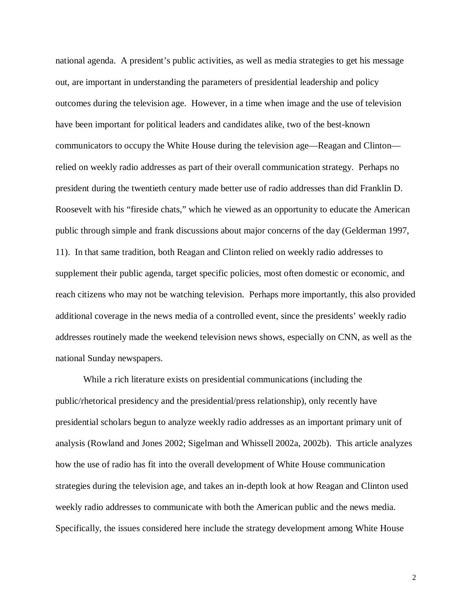national agenda. A president's public activities, as well as media strategies to get his message out, are important in understanding the parameters of presidential leadership and policy outcomes during the television age. However, in a time when image and the use of television have been important for political leaders and candidates alike, two of the best-known communicators to occupy the White House during the television age—Reagan and Clinton relied on weekly radio addresses as part of their overall communication strategy. Perhaps no president during the twentieth century made better use of radio addresses than did Franklin D. Roosevelt with his "fireside chats," which he viewed as an opportunity to educate the American public through simple and frank discussions about major concerns of the day (Gelderman 1997, 11). In that same tradition, both Reagan and Clinton relied on weekly radio addresses to supplement their public agenda, target specific policies, most often domestic or economic, and reach citizens who may not be watching television. Perhaps more importantly, this also provided additional coverage in the news media of a controlled event, since the presidents' weekly radio addresses routinely made the weekend television news shows, especially on CNN, as well as the national Sunday newspapers.

While a rich literature exists on presidential communications (including the public/rhetorical presidency and the presidential/press relationship), only recently have presidential scholars begun to analyze weekly radio addresses as an important primary unit of analysis (Rowland and Jones 2002; Sigelman and Whissell 2002a, 2002b). This article analyzes how the use of radio has fit into the overall development of White House communication strategies during the television age, and takes an in-depth look at how Reagan and Clinton used weekly radio addresses to communicate with both the American public and the news media. Specifically, the issues considered here include the strategy development among White House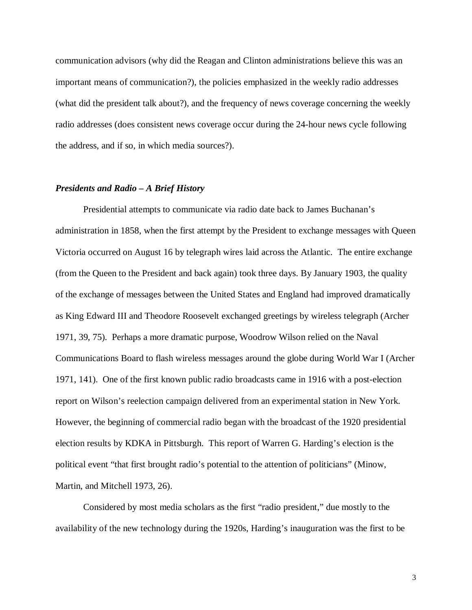communication advisors (why did the Reagan and Clinton administrations believe this was an important means of communication?), the policies emphasized in the weekly radio addresses (what did the president talk about?), and the frequency of news coverage concerning the weekly radio addresses (does consistent news coverage occur during the 24-hour news cycle following the address, and if so, in which media sources?).

#### *Presidents and Radio – A Brief History*

Presidential attempts to communicate via radio date back to James Buchanan's administration in 1858, when the first attempt by the President to exchange messages with Queen Victoria occurred on August 16 by telegraph wires laid across the Atlantic. The entire exchange (from the Queen to the President and back again) took three days. By January 1903, the quality of the exchange of messages between the United States and England had improved dramatically as King Edward III and Theodore Roosevelt exchanged greetings by wireless telegraph (Archer 1971, 39, 75). Perhaps a more dramatic purpose, Woodrow Wilson relied on the Naval Communications Board to flash wireless messages around the globe during World War I (Archer 1971, 141). One of the first known public radio broadcasts came in 1916 with a post-election report on Wilson's reelection campaign delivered from an experimental station in New York. However, the beginning of commercial radio began with the broadcast of the 1920 presidential election results by KDKA in Pittsburgh. This report of Warren G. Harding's election is the political event "that first brought radio's potential to the attention of politicians" (Minow, Martin, and Mitchell 1973, 26).

Considered by most media scholars as the first "radio president," due mostly to the availability of the new technology during the 1920s, Harding's inauguration was the first to be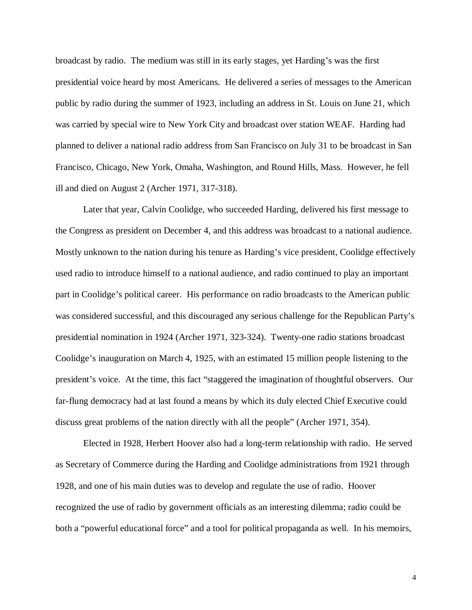broadcast by radio. The medium was still in its early stages, yet Harding's was the first presidential voice heard by most Americans. He delivered a series of messages to the American public by radio during the summer of 1923, including an address in St. Louis on June 21, which was carried by special wire to New York City and broadcast over station WEAF. Harding had planned to deliver a national radio address from San Francisco on July 31 to be broadcast in San Francisco, Chicago, New York, Omaha, Washington, and Round Hills, Mass. However, he fell ill and died on August 2 (Archer 1971, 317-318).

Later that year, Calvin Coolidge, who succeeded Harding, delivered his first message to the Congress as president on December 4, and this address was broadcast to a national audience. Mostly unknown to the nation during his tenure as Harding's vice president, Coolidge effectively used radio to introduce himself to a national audience, and radio continued to play an important part in Coolidge's political career. His performance on radio broadcasts to the American public was considered successful, and this discouraged any serious challenge for the Republican Party's presidential nomination in 1924 (Archer 1971, 323-324). Twenty-one radio stations broadcast Coolidge's inauguration on March 4, 1925, with an estimated 15 million people listening to the president's voice. At the time, this fact "staggered the imagination of thoughtful observers. Our far-flung democracy had at last found a means by which its duly elected Chief Executive could discuss great problems of the nation directly with all the people" (Archer 1971, 354).

Elected in 1928, Herbert Hoover also had a long-term relationship with radio. He served as Secretary of Commerce during the Harding and Coolidge administrations from 1921 through 1928, and one of his main duties was to develop and regulate the use of radio. Hoover recognized the use of radio by government officials as an interesting dilemma; radio could be both a "powerful educational force" and a tool for political propaganda as well. In his memoirs,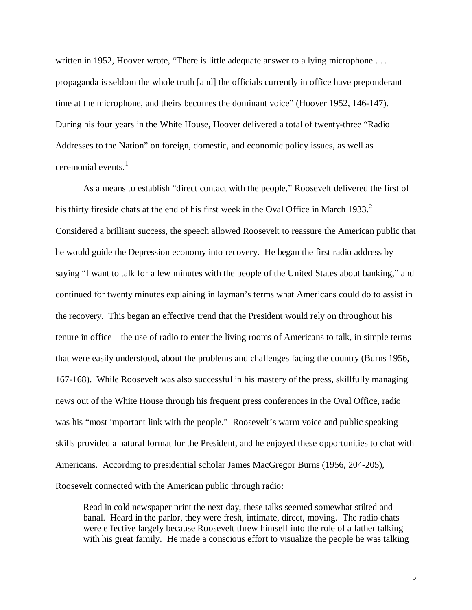written in 1952, Hoover wrote, "There is little adequate answer to a lying microphone . . . propaganda is seldom the whole truth [and] the officials currently in office have preponderant time at the microphone, and theirs becomes the dominant voice" (Hoover 1952, 146-147). During his four years in the White House, Hoover delivered a total of twenty-three "Radio Addresses to the Nation" on foreign, domestic, and economic policy issues, as well as ceremonial events. $1$ 

As a means to establish "direct contact with the people," Roosevelt delivered the first of his thirty fireside chats at the end of his first week in the Oval Office in March 1933. $2$ Considered a brilliant success, the speech allowed Roosevelt to reassure the American public that he would guide the Depression economy into recovery. He began the first radio address by saying "I want to talk for a few minutes with the people of the United States about banking," and continued for twenty minutes explaining in layman's terms what Americans could do to assist in the recovery. This began an effective trend that the President would rely on throughout his tenure in office—the use of radio to enter the living rooms of Americans to talk, in simple terms that were easily understood, about the problems and challenges facing the country (Burns 1956, 167-168). While Roosevelt was also successful in his mastery of the press, skillfully managing news out of the White House through his frequent press conferences in the Oval Office, radio was his "most important link with the people." Roosevelt's warm voice and public speaking skills provided a natural format for the President, and he enjoyed these opportunities to chat with Americans. According to presidential scholar James MacGregor Burns (1956, 204-205), Roosevelt connected with the American public through radio:

Read in cold newspaper print the next day, these talks seemed somewhat stilted and banal. Heard in the parlor, they were fresh, intimate, direct, moving. The radio chats were effective largely because Roosevelt threw himself into the role of a father talking with his great family. He made a conscious effort to visualize the people he was talking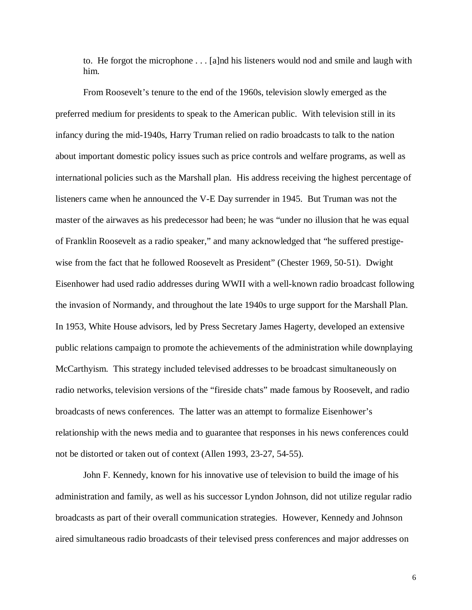to. He forgot the microphone . . . [a]nd his listeners would nod and smile and laugh with him.

From Roosevelt's tenure to the end of the 1960s, television slowly emerged as the preferred medium for presidents to speak to the American public. With television still in its infancy during the mid-1940s, Harry Truman relied on radio broadcasts to talk to the nation about important domestic policy issues such as price controls and welfare programs, as well as international policies such as the Marshall plan. His address receiving the highest percentage of listeners came when he announced the V-E Day surrender in 1945. But Truman was not the master of the airwaves as his predecessor had been; he was "under no illusion that he was equal of Franklin Roosevelt as a radio speaker," and many acknowledged that "he suffered prestigewise from the fact that he followed Roosevelt as President" (Chester 1969, 50-51). Dwight Eisenhower had used radio addresses during WWII with a well-known radio broadcast following the invasion of Normandy, and throughout the late 1940s to urge support for the Marshall Plan. In 1953, White House advisors, led by Press Secretary James Hagerty, developed an extensive public relations campaign to promote the achievements of the administration while downplaying McCarthyism. This strategy included televised addresses to be broadcast simultaneously on radio networks, television versions of the "fireside chats" made famous by Roosevelt, and radio broadcasts of news conferences. The latter was an attempt to formalize Eisenhower's relationship with the news media and to guarantee that responses in his news conferences could not be distorted or taken out of context (Allen 1993, 23-27, 54-55).

John F. Kennedy, known for his innovative use of television to build the image of his administration and family, as well as his successor Lyndon Johnson, did not utilize regular radio broadcasts as part of their overall communication strategies. However, Kennedy and Johnson aired simultaneous radio broadcasts of their televised press conferences and major addresses on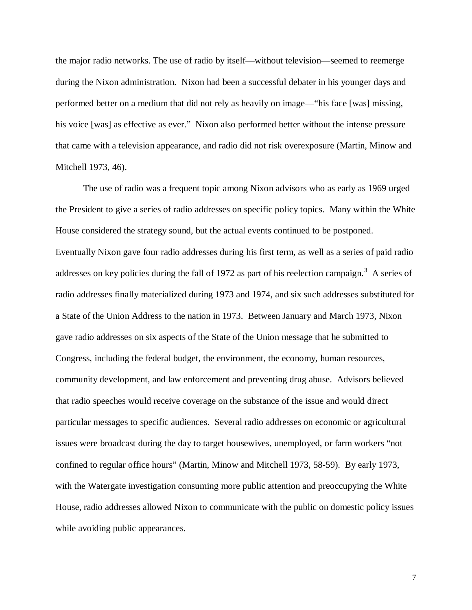the major radio networks. The use of radio by itself—without television—seemed to reemerge during the Nixon administration. Nixon had been a successful debater in his younger days and performed better on a medium that did not rely as heavily on image—"his face [was] missing, his voice [was] as effective as ever." Nixon also performed better without the intense pressure that came with a television appearance, and radio did not risk overexposure (Martin, Minow and Mitchell 1973, 46).

The use of radio was a frequent topic among Nixon advisors who as early as 1969 urged the President to give a series of radio addresses on specific policy topics. Many within the White House considered the strategy sound, but the actual events continued to be postponed. Eventually Nixon gave four radio addresses during his first term, as well as a series of paid radio addresses on key policies during the fall of 1972 as part of his reelection campaign.<sup>[3](#page-28-2)</sup> A series of radio addresses finally materialized during 1973 and 1974, and six such addresses substituted for a State of the Union Address to the nation in 1973. Between January and March 1973, Nixon gave radio addresses on six aspects of the State of the Union message that he submitted to Congress, including the federal budget, the environment, the economy, human resources, community development, and law enforcement and preventing drug abuse. Advisors believed that radio speeches would receive coverage on the substance of the issue and would direct particular messages to specific audiences. Several radio addresses on economic or agricultural issues were broadcast during the day to target housewives, unemployed, or farm workers "not confined to regular office hours" (Martin, Minow and Mitchell 1973, 58-59). By early 1973, with the Watergate investigation consuming more public attention and preoccupying the White House, radio addresses allowed Nixon to communicate with the public on domestic policy issues while avoiding public appearances.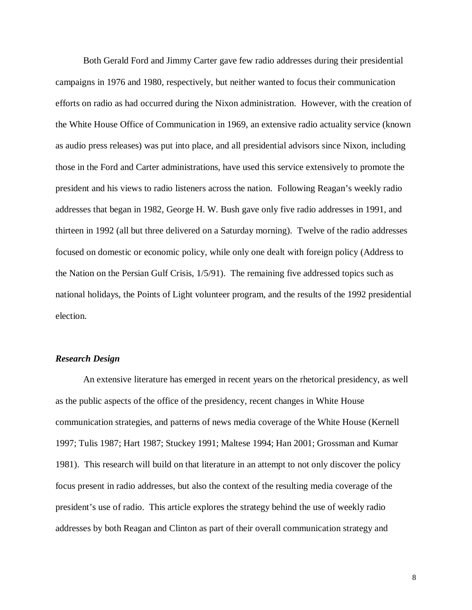Both Gerald Ford and Jimmy Carter gave few radio addresses during their presidential campaigns in 1976 and 1980, respectively, but neither wanted to focus their communication efforts on radio as had occurred during the Nixon administration. However, with the creation of the White House Office of Communication in 1969, an extensive radio actuality service (known as audio press releases) was put into place, and all presidential advisors since Nixon, including those in the Ford and Carter administrations, have used this service extensively to promote the president and his views to radio listeners across the nation. Following Reagan's weekly radio addresses that began in 1982, George H. W. Bush gave only five radio addresses in 1991, and thirteen in 1992 (all but three delivered on a Saturday morning). Twelve of the radio addresses focused on domestic or economic policy, while only one dealt with foreign policy (Address to the Nation on the Persian Gulf Crisis, 1/5/91). The remaining five addressed topics such as national holidays, the Points of Light volunteer program, and the results of the 1992 presidential election.

#### *Research Design*

An extensive literature has emerged in recent years on the rhetorical presidency, as well as the public aspects of the office of the presidency, recent changes in White House communication strategies, and patterns of news media coverage of the White House (Kernell 1997; Tulis 1987; Hart 1987; Stuckey 1991; Maltese 1994; Han 2001; Grossman and Kumar 1981). This research will build on that literature in an attempt to not only discover the policy focus present in radio addresses, but also the context of the resulting media coverage of the president's use of radio. This article explores the strategy behind the use of weekly radio addresses by both Reagan and Clinton as part of their overall communication strategy and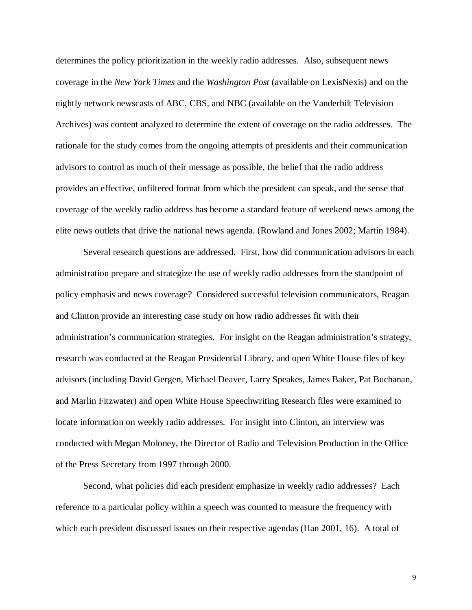determines the policy prioritization in the weekly radio addresses. Also, subsequent news coverage in the *New York Times* and the *Washington Post* (available on LexisNexis) and on the nightly network newscasts of ABC, CBS, and NBC (available on the Vanderbilt Television Archives) was content analyzed to determine the extent of coverage on the radio addresses. The rationale for the study comes from the ongoing attempts of presidents and their communication advisors to control as much of their message as possible, the belief that the radio address provides an effective, unfiltered format from which the president can speak, and the sense that coverage of the weekly radio address has become a standard feature of weekend news among the elite news outlets that drive the national news agenda. (Rowland and Jones 2002; Martin 1984).

Several research questions are addressed. First, how did communication advisors in each administration prepare and strategize the use of weekly radio addresses from the standpoint of policy emphasis and news coverage? Considered successful television communicators, Reagan and Clinton provide an interesting case study on how radio addresses fit with their administration's communication strategies. For insight on the Reagan administration's strategy, research was conducted at the Reagan Presidential Library, and open White House files of key advisors (including David Gergen, Michael Deaver, Larry Speakes, James Baker, Pat Buchanan, and Marlin Fitzwater) and open White House Speechwriting Research files were examined to locate information on weekly radio addresses. For insight into Clinton, an interview was conducted with Megan Moloney, the Director of Radio and Television Production in the Office of the Press Secretary from 1997 through 2000.

Second, what policies did each president emphasize in weekly radio addresses? Each reference to a particular policy within a speech was counted to measure the frequency with which each president discussed issues on their respective agendas (Han 2001, 16). A total of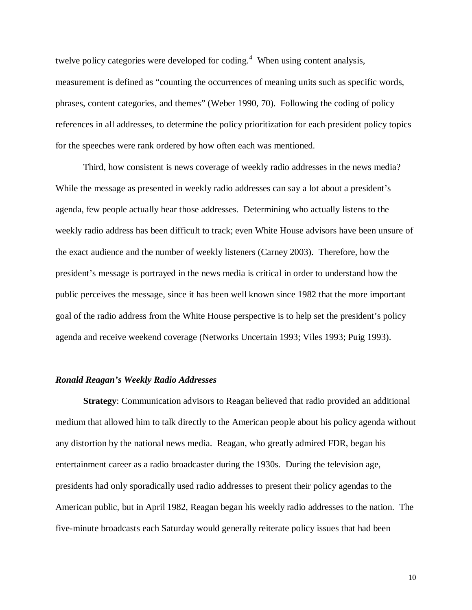twelve policy categories were developed for coding.<sup>[4](#page-29-0)</sup> When using content analysis, measurement is defined as "counting the occurrences of meaning units such as specific words, phrases, content categories, and themes" (Weber 1990, 70). Following the coding of policy references in all addresses, to determine the policy prioritization for each president policy topics for the speeches were rank ordered by how often each was mentioned.

Third, how consistent is news coverage of weekly radio addresses in the news media? While the message as presented in weekly radio addresses can say a lot about a president's agenda, few people actually hear those addresses. Determining who actually listens to the weekly radio address has been difficult to track; even White House advisors have been unsure of the exact audience and the number of weekly listeners (Carney 2003). Therefore, how the president's message is portrayed in the news media is critical in order to understand how the public perceives the message, since it has been well known since 1982 that the more important goal of the radio address from the White House perspective is to help set the president's policy agenda and receive weekend coverage (Networks Uncertain 1993; Viles 1993; Puig 1993).

#### *Ronald Reagan's Weekly Radio Addresses*

**Strategy**: Communication advisors to Reagan believed that radio provided an additional medium that allowed him to talk directly to the American people about his policy agenda without any distortion by the national news media. Reagan, who greatly admired FDR, began his entertainment career as a radio broadcaster during the 1930s. During the television age, presidents had only sporadically used radio addresses to present their policy agendas to the American public, but in April 1982, Reagan began his weekly radio addresses to the nation. The five-minute broadcasts each Saturday would generally reiterate policy issues that had been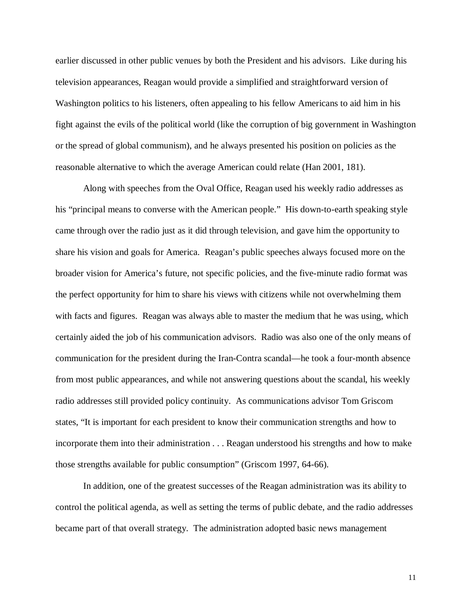earlier discussed in other public venues by both the President and his advisors. Like during his television appearances, Reagan would provide a simplified and straightforward version of Washington politics to his listeners, often appealing to his fellow Americans to aid him in his fight against the evils of the political world (like the corruption of big government in Washington or the spread of global communism), and he always presented his position on policies as the reasonable alternative to which the average American could relate (Han 2001, 181).

Along with speeches from the Oval Office, Reagan used his weekly radio addresses as his "principal means to converse with the American people." His down-to-earth speaking style came through over the radio just as it did through television, and gave him the opportunity to share his vision and goals for America. Reagan's public speeches always focused more on the broader vision for America's future, not specific policies, and the five-minute radio format was the perfect opportunity for him to share his views with citizens while not overwhelming them with facts and figures. Reagan was always able to master the medium that he was using, which certainly aided the job of his communication advisors. Radio was also one of the only means of communication for the president during the Iran-Contra scandal—he took a four-month absence from most public appearances, and while not answering questions about the scandal, his weekly radio addresses still provided policy continuity. As communications advisor Tom Griscom states, "It is important for each president to know their communication strengths and how to incorporate them into their administration . . . Reagan understood his strengths and how to make those strengths available for public consumption" (Griscom 1997, 64-66).

In addition, one of the greatest successes of the Reagan administration was its ability to control the political agenda, as well as setting the terms of public debate, and the radio addresses became part of that overall strategy. The administration adopted basic news management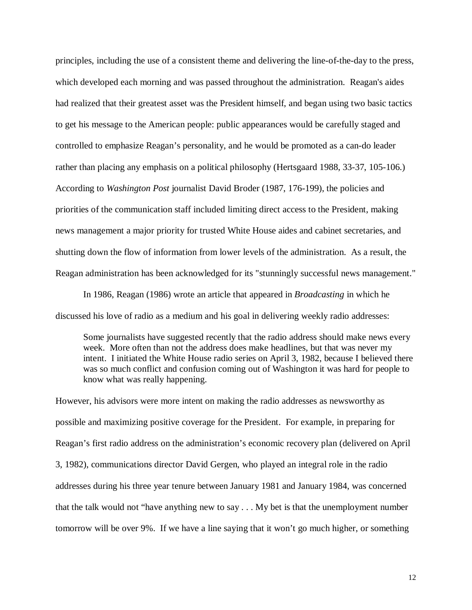principles, including the use of a consistent theme and delivering the line-of-the-day to the press, which developed each morning and was passed throughout the administration. Reagan's aides had realized that their greatest asset was the President himself, and began using two basic tactics to get his message to the American people: public appearances would be carefully staged and controlled to emphasize Reagan's personality, and he would be promoted as a can-do leader rather than placing any emphasis on a political philosophy (Hertsgaard 1988, 33-37, 105-106.) According to *Washington Post* journalist David Broder (1987, 176-199), the policies and priorities of the communication staff included limiting direct access to the President, making news management a major priority for trusted White House aides and cabinet secretaries, and shutting down the flow of information from lower levels of the administration. As a result, the Reagan administration has been acknowledged for its "stunningly successful news management."

In 1986, Reagan (1986) wrote an article that appeared in *Broadcasting* in which he discussed his love of radio as a medium and his goal in delivering weekly radio addresses:

Some journalists have suggested recently that the radio address should make news every week. More often than not the address does make headlines, but that was never my intent. I initiated the White House radio series on April 3, 1982, because I believed there was so much conflict and confusion coming out of Washington it was hard for people to know what was really happening.

However, his advisors were more intent on making the radio addresses as newsworthy as possible and maximizing positive coverage for the President. For example, in preparing for Reagan's first radio address on the administration's economic recovery plan (delivered on April 3, 1982), communications director David Gergen, who played an integral role in the radio addresses during his three year tenure between January 1981 and January 1984, was concerned that the talk would not "have anything new to say . . . My bet is that the unemployment number tomorrow will be over 9%. If we have a line saying that it won't go much higher, or something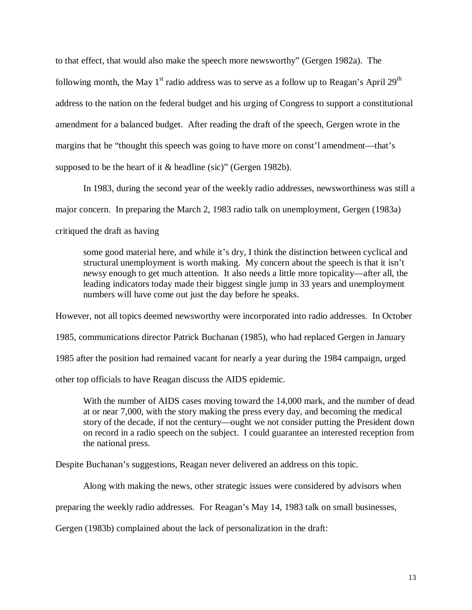to that effect, that would also make the speech more newsworthy" (Gergen 1982a). The following month, the May 1<sup>st</sup> radio address was to serve as a follow up to Reagan's April 29<sup>th</sup> address to the nation on the federal budget and his urging of Congress to support a constitutional amendment for a balanced budget. After reading the draft of the speech, Gergen wrote in the margins that he "thought this speech was going to have more on const'l amendment—that's supposed to be the heart of it & headline (sic)" (Gergen 1982b).

In 1983, during the second year of the weekly radio addresses, newsworthiness was still a major concern. In preparing the March 2, 1983 radio talk on unemployment, Gergen (1983a) critiqued the draft as having

some good material here, and while it's dry, I think the distinction between cyclical and structural unemployment is worth making. My concern about the speech is that it isn't newsy enough to get much attention. It also needs a little more topicality—after all, the leading indicators today made their biggest single jump in 33 years and unemployment numbers will have come out just the day before he speaks.

However, not all topics deemed newsworthy were incorporated into radio addresses. In October 1985, communications director Patrick Buchanan (1985), who had replaced Gergen in January 1985 after the position had remained vacant for nearly a year during the 1984 campaign, urged other top officials to have Reagan discuss the AIDS epidemic.

With the number of AIDS cases moving toward the 14,000 mark, and the number of dead at or near 7,000, with the story making the press every day, and becoming the medical story of the decade, if not the century—ought we not consider putting the President down on record in a radio speech on the subject. I could guarantee an interested reception from the national press.

Despite Buchanan's suggestions, Reagan never delivered an address on this topic.

Along with making the news, other strategic issues were considered by advisors when

preparing the weekly radio addresses. For Reagan's May 14, 1983 talk on small businesses,

Gergen (1983b) complained about the lack of personalization in the draft: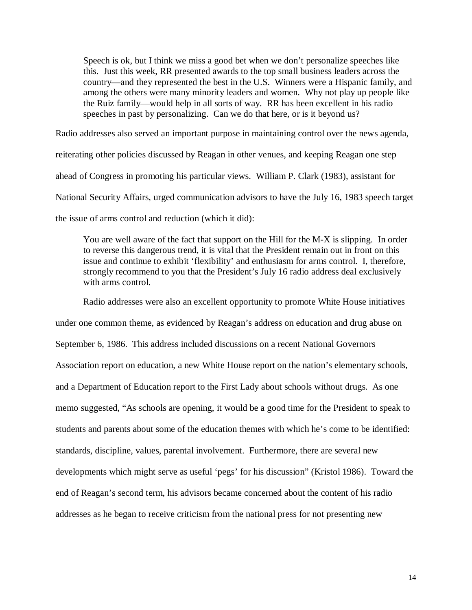Speech is ok, but I think we miss a good bet when we don't personalize speeches like this. Just this week, RR presented awards to the top small business leaders across the country—and they represented the best in the U.S. Winners were a Hispanic family, and among the others were many minority leaders and women. Why not play up people like the Ruiz family—would help in all sorts of way. RR has been excellent in his radio speeches in past by personalizing. Can we do that here, or is it beyond us?

Radio addresses also served an important purpose in maintaining control over the news agenda,

reiterating other policies discussed by Reagan in other venues, and keeping Reagan one step ahead of Congress in promoting his particular views. William P. Clark (1983), assistant for National Security Affairs, urged communication advisors to have the July 16, 1983 speech target the issue of arms control and reduction (which it did):

You are well aware of the fact that support on the Hill for the M-X is slipping. In order to reverse this dangerous trend, it is vital that the President remain out in front on this issue and continue to exhibit 'flexibility' and enthusiasm for arms control. I, therefore, strongly recommend to you that the President's July 16 radio address deal exclusively with arms control.

Radio addresses were also an excellent opportunity to promote White House initiatives under one common theme, as evidenced by Reagan's address on education and drug abuse on September 6, 1986. This address included discussions on a recent National Governors Association report on education, a new White House report on the nation's elementary schools, and a Department of Education report to the First Lady about schools without drugs. As one memo suggested, "As schools are opening, it would be a good time for the President to speak to students and parents about some of the education themes with which he's come to be identified: standards, discipline, values, parental involvement. Furthermore, there are several new developments which might serve as useful 'pegs' for his discussion" (Kristol 1986). Toward the end of Reagan's second term, his advisors became concerned about the content of his radio addresses as he began to receive criticism from the national press for not presenting new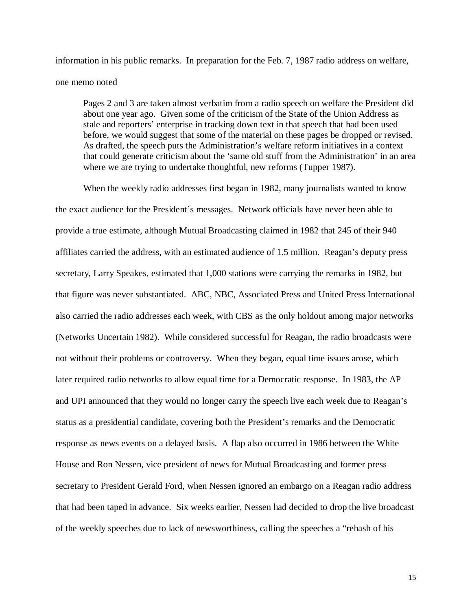information in his public remarks. In preparation for the Feb. 7, 1987 radio address on welfare,

#### one memo noted

Pages 2 and 3 are taken almost verbatim from a radio speech on welfare the President did about one year ago. Given some of the criticism of the State of the Union Address as stale and reporters' enterprise in tracking down text in that speech that had been used before, we would suggest that some of the material on these pages be dropped or revised. As drafted, the speech puts the Administration's welfare reform initiatives in a context that could generate criticism about the 'same old stuff from the Administration' in an area where we are trying to undertake thoughtful, new reforms (Tupper 1987).

When the weekly radio addresses first began in 1982, many journalists wanted to know the exact audience for the President's messages. Network officials have never been able to provide a true estimate, although Mutual Broadcasting claimed in 1982 that 245 of their 940 affiliates carried the address, with an estimated audience of 1.5 million. Reagan's deputy press secretary, Larry Speakes, estimated that 1,000 stations were carrying the remarks in 1982, but that figure was never substantiated. ABC, NBC, Associated Press and United Press International also carried the radio addresses each week, with CBS as the only holdout among major networks (Networks Uncertain 1982). While considered successful for Reagan, the radio broadcasts were not without their problems or controversy. When they began, equal time issues arose, which later required radio networks to allow equal time for a Democratic response. In 1983, the AP and UPI announced that they would no longer carry the speech live each week due to Reagan's status as a presidential candidate, covering both the President's remarks and the Democratic response as news events on a delayed basis. A flap also occurred in 1986 between the White House and Ron Nessen, vice president of news for Mutual Broadcasting and former press secretary to President Gerald Ford, when Nessen ignored an embargo on a Reagan radio address that had been taped in advance. Six weeks earlier, Nessen had decided to drop the live broadcast of the weekly speeches due to lack of newsworthiness, calling the speeches a "rehash of his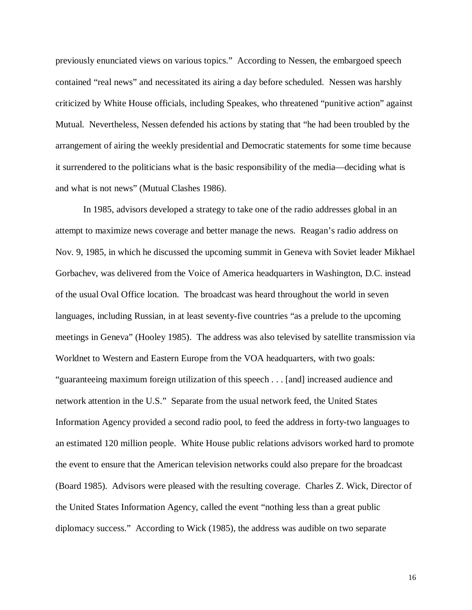previously enunciated views on various topics." According to Nessen, the embargoed speech contained "real news" and necessitated its airing a day before scheduled. Nessen was harshly criticized by White House officials, including Speakes, who threatened "punitive action" against Mutual. Nevertheless, Nessen defended his actions by stating that "he had been troubled by the arrangement of airing the weekly presidential and Democratic statements for some time because it surrendered to the politicians what is the basic responsibility of the media—deciding what is and what is not news" (Mutual Clashes 1986).

In 1985, advisors developed a strategy to take one of the radio addresses global in an attempt to maximize news coverage and better manage the news. Reagan's radio address on Nov. 9, 1985, in which he discussed the upcoming summit in Geneva with Soviet leader Mikhael Gorbachev, was delivered from the Voice of America headquarters in Washington, D.C. instead of the usual Oval Office location. The broadcast was heard throughout the world in seven languages, including Russian, in at least seventy-five countries "as a prelude to the upcoming meetings in Geneva" (Hooley 1985). The address was also televised by satellite transmission via Worldnet to Western and Eastern Europe from the VOA headquarters, with two goals: "guaranteeing maximum foreign utilization of this speech . . . [and] increased audience and network attention in the U.S." Separate from the usual network feed, the United States Information Agency provided a second radio pool, to feed the address in forty-two languages to an estimated 120 million people. White House public relations advisors worked hard to promote the event to ensure that the American television networks could also prepare for the broadcast (Board 1985). Advisors were pleased with the resulting coverage. Charles Z. Wick, Director of the United States Information Agency, called the event "nothing less than a great public diplomacy success." According to Wick (1985), the address was audible on two separate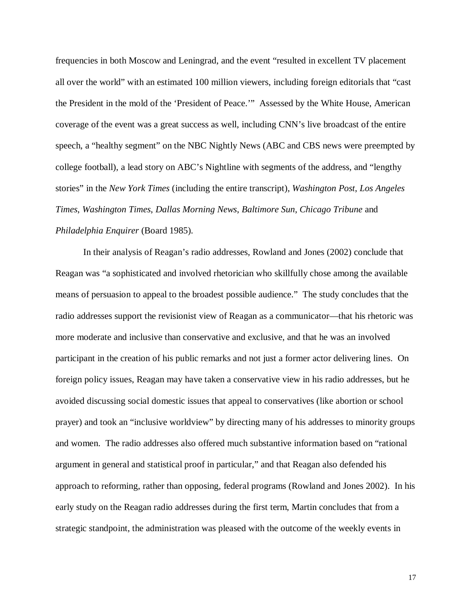frequencies in both Moscow and Leningrad, and the event "resulted in excellent TV placement all over the world" with an estimated 100 million viewers, including foreign editorials that "cast the President in the mold of the 'President of Peace.'" Assessed by the White House, American coverage of the event was a great success as well, including CNN's live broadcast of the entire speech, a "healthy segment" on the NBC Nightly News (ABC and CBS news were preempted by college football), a lead story on ABC's Nightline with segments of the address, and "lengthy stories" in the *New York Times* (including the entire transcript), *Washington Post*, *Los Angeles Times*, *Washington Times*, *Dallas Morning News*, *Baltimore Sun*, *Chicago Tribune* and *Philadelphia Enquirer* (Board 1985).

In their analysis of Reagan's radio addresses, Rowland and Jones (2002) conclude that Reagan was "a sophisticated and involved rhetorician who skillfully chose among the available means of persuasion to appeal to the broadest possible audience." The study concludes that the radio addresses support the revisionist view of Reagan as a communicator—that his rhetoric was more moderate and inclusive than conservative and exclusive, and that he was an involved participant in the creation of his public remarks and not just a former actor delivering lines. On foreign policy issues, Reagan may have taken a conservative view in his radio addresses, but he avoided discussing social domestic issues that appeal to conservatives (like abortion or school prayer) and took an "inclusive worldview" by directing many of his addresses to minority groups and women. The radio addresses also offered much substantive information based on "rational argument in general and statistical proof in particular," and that Reagan also defended his approach to reforming, rather than opposing, federal programs (Rowland and Jones 2002). In his early study on the Reagan radio addresses during the first term, Martin concludes that from a strategic standpoint, the administration was pleased with the outcome of the weekly events in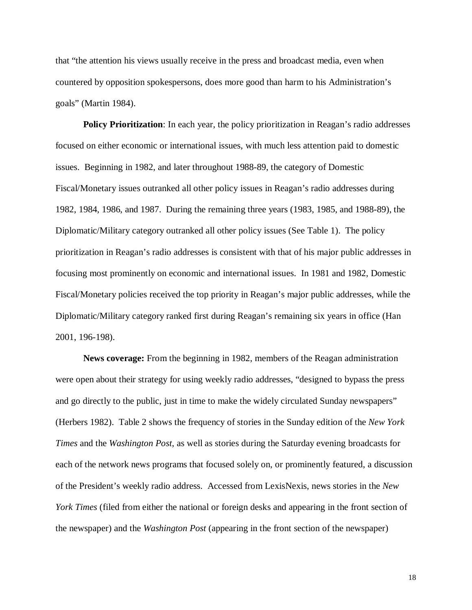that "the attention his views usually receive in the press and broadcast media, even when countered by opposition spokespersons, does more good than harm to his Administration's goals" (Martin 1984).

**Policy Prioritization**: In each year, the policy prioritization in Reagan's radio addresses focused on either economic or international issues, with much less attention paid to domestic issues. Beginning in 1982, and later throughout 1988-89, the category of Domestic Fiscal/Monetary issues outranked all other policy issues in Reagan's radio addresses during 1982, 1984, 1986, and 1987. During the remaining three years (1983, 1985, and 1988-89), the Diplomatic/Military category outranked all other policy issues (See Table 1). The policy prioritization in Reagan's radio addresses is consistent with that of his major public addresses in focusing most prominently on economic and international issues. In 1981 and 1982, Domestic Fiscal/Monetary policies received the top priority in Reagan's major public addresses, while the Diplomatic/Military category ranked first during Reagan's remaining six years in office (Han 2001, 196-198).

**News coverage:** From the beginning in 1982, members of the Reagan administration were open about their strategy for using weekly radio addresses, "designed to bypass the press and go directly to the public, just in time to make the widely circulated Sunday newspapers" (Herbers 1982). Table 2 shows the frequency of stories in the Sunday edition of the *New York Times* and the *Washington Post*, as well as stories during the Saturday evening broadcasts for each of the network news programs that focused solely on, or prominently featured, a discussion of the President's weekly radio address. Accessed from LexisNexis, news stories in the *New York Times* (filed from either the national or foreign desks and appearing in the front section of the newspaper) and the *Washington Post* (appearing in the front section of the newspaper)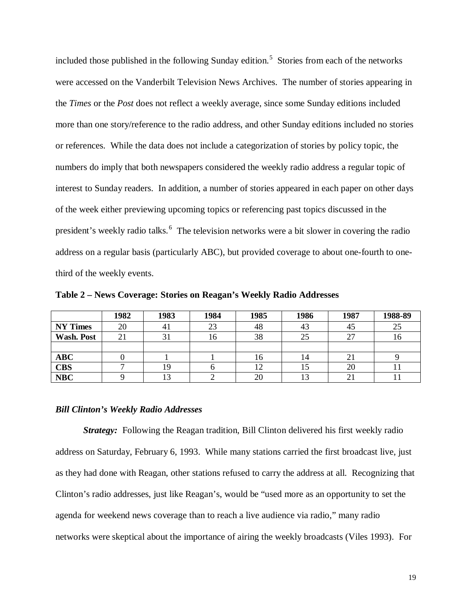included those published in the following Sunday edition.<sup>[5](#page-29-1)</sup> Stories from each of the networks were accessed on the Vanderbilt Television News Archives. The number of stories appearing in the *Times* or the *Post* does not reflect a weekly average, since some Sunday editions included more than one story/reference to the radio address, and other Sunday editions included no stories or references. While the data does not include a categorization of stories by policy topic, the numbers do imply that both newspapers considered the weekly radio address a regular topic of interest to Sunday readers. In addition, a number of stories appeared in each paper on other days of the week either previewing upcoming topics or referencing past topics discussed in the president's weekly radio talks.<sup>[6](#page-29-2)</sup> The television networks were a bit slower in covering the radio address on a regular basis (particularly ABC), but provided coverage to about one-fourth to onethird of the weekly events.

**1982 1983 1984 1985 1986 1987 1988-89 NY Times** 20 41 23 48 43 45 25 **Wash. Post** | 21 | 31 | 16 | 38 | 25 | 27 | 16 **ABC** 0 1 1 16 14 21 9 **CBS** | 7 | 19 | 6 | 12 | 15 | 20 | 11 **NBC** 9 13 2 20 13 21 11

**Table 2 – News Coverage: Stories on Reagan's Weekly Radio Addresses**

#### *Bill Clinton's Weekly Radio Addresses*

*Strategy:* Following the Reagan tradition, Bill Clinton delivered his first weekly radio address on Saturday, February 6, 1993. While many stations carried the first broadcast live, just as they had done with Reagan, other stations refused to carry the address at all. Recognizing that Clinton's radio addresses, just like Reagan's, would be "used more as an opportunity to set the agenda for weekend news coverage than to reach a live audience via radio," many radio networks were skeptical about the importance of airing the weekly broadcasts (Viles 1993). For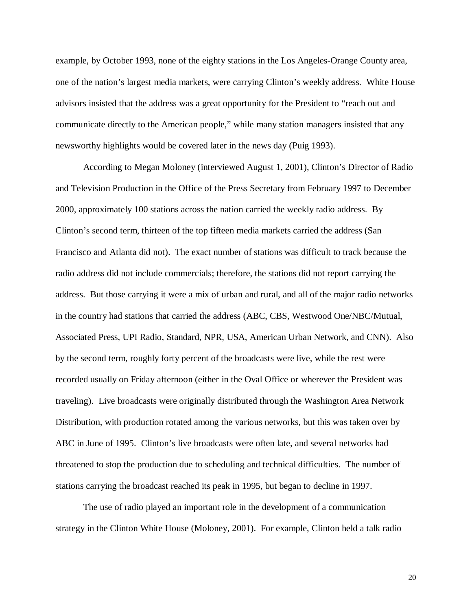example, by October 1993, none of the eighty stations in the Los Angeles-Orange County area, one of the nation's largest media markets, were carrying Clinton's weekly address. White House advisors insisted that the address was a great opportunity for the President to "reach out and communicate directly to the American people," while many station managers insisted that any newsworthy highlights would be covered later in the news day (Puig 1993).

According to Megan Moloney (interviewed August 1, 2001), Clinton's Director of Radio and Television Production in the Office of the Press Secretary from February 1997 to December 2000, approximately 100 stations across the nation carried the weekly radio address. By Clinton's second term, thirteen of the top fifteen media markets carried the address (San Francisco and Atlanta did not). The exact number of stations was difficult to track because the radio address did not include commercials; therefore, the stations did not report carrying the address. But those carrying it were a mix of urban and rural, and all of the major radio networks in the country had stations that carried the address (ABC, CBS, Westwood One/NBC/Mutual, Associated Press, UPI Radio, Standard, NPR, USA, American Urban Network, and CNN). Also by the second term, roughly forty percent of the broadcasts were live, while the rest were recorded usually on Friday afternoon (either in the Oval Office or wherever the President was traveling). Live broadcasts were originally distributed through the Washington Area Network Distribution, with production rotated among the various networks, but this was taken over by ABC in June of 1995. Clinton's live broadcasts were often late, and several networks had threatened to stop the production due to scheduling and technical difficulties. The number of stations carrying the broadcast reached its peak in 1995, but began to decline in 1997.

The use of radio played an important role in the development of a communication strategy in the Clinton White House (Moloney, 2001). For example, Clinton held a talk radio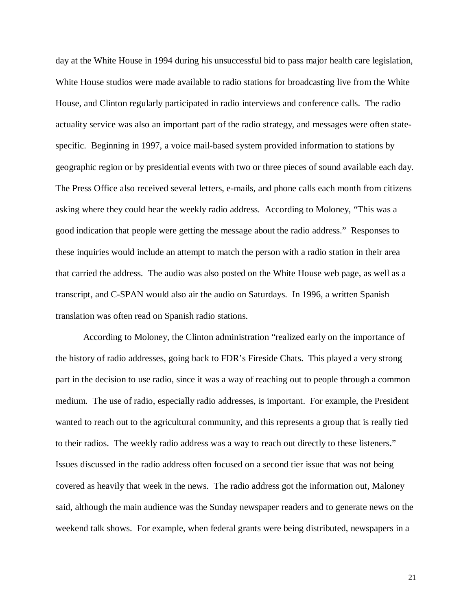day at the White House in 1994 during his unsuccessful bid to pass major health care legislation, White House studios were made available to radio stations for broadcasting live from the White House, and Clinton regularly participated in radio interviews and conference calls. The radio actuality service was also an important part of the radio strategy, and messages were often statespecific. Beginning in 1997, a voice mail-based system provided information to stations by geographic region or by presidential events with two or three pieces of sound available each day. The Press Office also received several letters, e-mails, and phone calls each month from citizens asking where they could hear the weekly radio address. According to Moloney, "This was a good indication that people were getting the message about the radio address." Responses to these inquiries would include an attempt to match the person with a radio station in their area that carried the address. The audio was also posted on the White House web page, as well as a transcript, and C-SPAN would also air the audio on Saturdays. In 1996, a written Spanish translation was often read on Spanish radio stations.

According to Moloney, the Clinton administration "realized early on the importance of the history of radio addresses, going back to FDR's Fireside Chats. This played a very strong part in the decision to use radio, since it was a way of reaching out to people through a common medium. The use of radio, especially radio addresses, is important. For example, the President wanted to reach out to the agricultural community, and this represents a group that is really tied to their radios. The weekly radio address was a way to reach out directly to these listeners." Issues discussed in the radio address often focused on a second tier issue that was not being covered as heavily that week in the news. The radio address got the information out, Maloney said, although the main audience was the Sunday newspaper readers and to generate news on the weekend talk shows. For example, when federal grants were being distributed, newspapers in a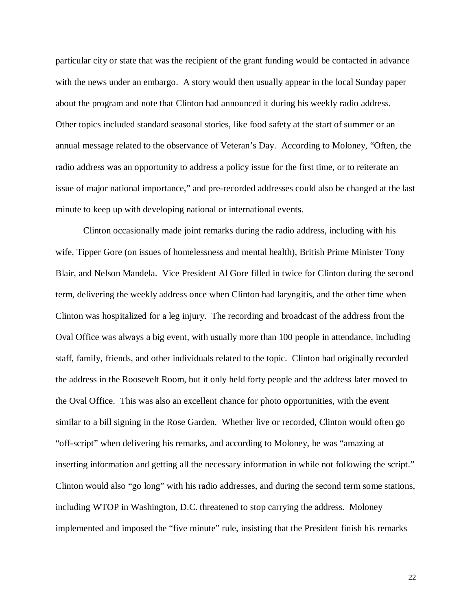particular city or state that was the recipient of the grant funding would be contacted in advance with the news under an embargo. A story would then usually appear in the local Sunday paper about the program and note that Clinton had announced it during his weekly radio address. Other topics included standard seasonal stories, like food safety at the start of summer or an annual message related to the observance of Veteran's Day. According to Moloney, "Often, the radio address was an opportunity to address a policy issue for the first time, or to reiterate an issue of major national importance," and pre-recorded addresses could also be changed at the last minute to keep up with developing national or international events.

Clinton occasionally made joint remarks during the radio address, including with his wife, Tipper Gore (on issues of homelessness and mental health), British Prime Minister Tony Blair, and Nelson Mandela. Vice President Al Gore filled in twice for Clinton during the second term, delivering the weekly address once when Clinton had laryngitis, and the other time when Clinton was hospitalized for a leg injury. The recording and broadcast of the address from the Oval Office was always a big event, with usually more than 100 people in attendance, including staff, family, friends, and other individuals related to the topic. Clinton had originally recorded the address in the Roosevelt Room, but it only held forty people and the address later moved to the Oval Office. This was also an excellent chance for photo opportunities, with the event similar to a bill signing in the Rose Garden. Whether live or recorded, Clinton would often go "off-script" when delivering his remarks, and according to Moloney, he was "amazing at inserting information and getting all the necessary information in while not following the script." Clinton would also "go long" with his radio addresses, and during the second term some stations, including WTOP in Washington, D.C. threatened to stop carrying the address. Moloney implemented and imposed the "five minute" rule, insisting that the President finish his remarks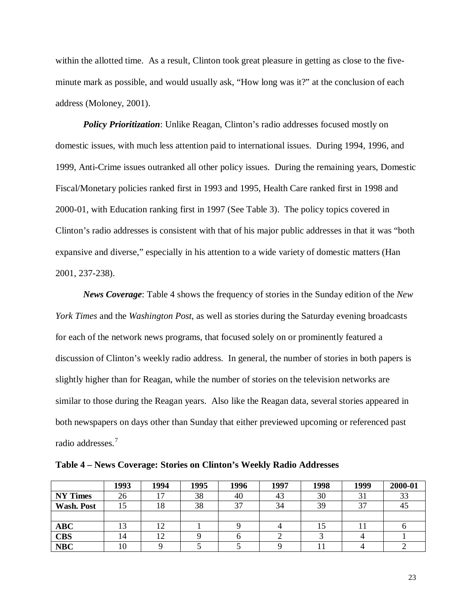within the allotted time. As a result, Clinton took great pleasure in getting as close to the fiveminute mark as possible, and would usually ask, "How long was it?" at the conclusion of each address (Moloney, 2001).

*Policy Prioritization*: Unlike Reagan, Clinton's radio addresses focused mostly on domestic issues, with much less attention paid to international issues. During 1994, 1996, and 1999, Anti-Crime issues outranked all other policy issues. During the remaining years, Domestic Fiscal/Monetary policies ranked first in 1993 and 1995, Health Care ranked first in 1998 and 2000-01, with Education ranking first in 1997 (See Table 3). The policy topics covered in Clinton's radio addresses is consistent with that of his major public addresses in that it was "both expansive and diverse," especially in his attention to a wide variety of domestic matters (Han 2001, 237-238).

*News Coverage*: Table 4 shows the frequency of stories in the Sunday edition of the *New York Times* and the *Washington Post*, as well as stories during the Saturday evening broadcasts for each of the network news programs, that focused solely on or prominently featured a discussion of Clinton's weekly radio address. In general, the number of stories in both papers is slightly higher than for Reagan, while the number of stories on the television networks are similar to those during the Reagan years. Also like the Reagan data, several stories appeared in both newspapers on days other than Sunday that either previewed upcoming or referenced past radio addresses.[7](#page-29-3)

**Table 4 – News Coverage: Stories on Clinton's Weekly Radio Addresses**

|                   | 1993             | 1994 | 1995 | 1996 | 1997 | 1998 | 1999 | 2000-01 |
|-------------------|------------------|------|------|------|------|------|------|---------|
| <b>NY Times</b>   | 26               | רו   | 38   | 40   | 43   | 30   | 31   | 33      |
| <b>Wash. Post</b> | 15               | 18   | 38   | 37   | 34   | 39   | 37   | -45     |
|                   |                  |      |      |      |      |      |      |         |
| ABC               | $\bigcirc$<br>LÓ | 12   |      |      |      | 15   |      |         |
| <b>CBS</b>        | ι4               | 12   |      |      |      |      |      |         |
| <b>NBC</b>        | 10               |      |      |      |      |      |      |         |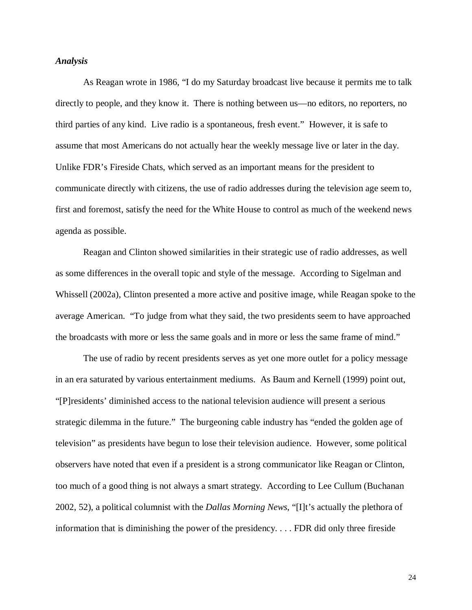#### *Analysis*

As Reagan wrote in 1986, "I do my Saturday broadcast live because it permits me to talk directly to people, and they know it. There is nothing between us—no editors, no reporters, no third parties of any kind. Live radio is a spontaneous, fresh event." However, it is safe to assume that most Americans do not actually hear the weekly message live or later in the day. Unlike FDR's Fireside Chats, which served as an important means for the president to communicate directly with citizens, the use of radio addresses during the television age seem to, first and foremost, satisfy the need for the White House to control as much of the weekend news agenda as possible.

Reagan and Clinton showed similarities in their strategic use of radio addresses, as well as some differences in the overall topic and style of the message. According to Sigelman and Whissell (2002a), Clinton presented a more active and positive image, while Reagan spoke to the average American. "To judge from what they said, the two presidents seem to have approached the broadcasts with more or less the same goals and in more or less the same frame of mind."

The use of radio by recent presidents serves as yet one more outlet for a policy message in an era saturated by various entertainment mediums. As Baum and Kernell (1999) point out, "[P]residents' diminished access to the national television audience will present a serious strategic dilemma in the future." The burgeoning cable industry has "ended the golden age of television" as presidents have begun to lose their television audience. However, some political observers have noted that even if a president is a strong communicator like Reagan or Clinton, too much of a good thing is not always a smart strategy. According to Lee Cullum (Buchanan 2002, 52), a political columnist with the *Dallas Morning News*, "[I]t's actually the plethora of information that is diminishing the power of the presidency. . . . FDR did only three fireside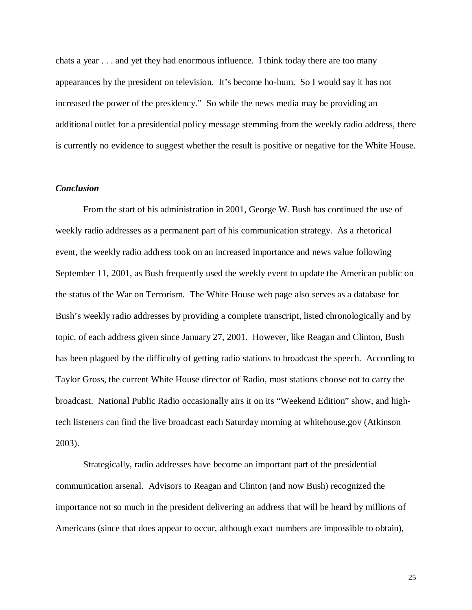chats a year . . . and yet they had enormous influence. I think today there are too many appearances by the president on television. It's become ho-hum. So I would say it has not increased the power of the presidency." So while the news media may be providing an additional outlet for a presidential policy message stemming from the weekly radio address, there is currently no evidence to suggest whether the result is positive or negative for the White House.

#### *Conclusion*

From the start of his administration in 2001, George W. Bush has continued the use of weekly radio addresses as a permanent part of his communication strategy. As a rhetorical event, the weekly radio address took on an increased importance and news value following September 11, 2001, as Bush frequently used the weekly event to update the American public on the status of the War on Terrorism. The White House web page also serves as a database for Bush's weekly radio addresses by providing a complete transcript, listed chronologically and by topic, of each address given since January 27, 2001. However, like Reagan and Clinton, Bush has been plagued by the difficulty of getting radio stations to broadcast the speech. According to Taylor Gross, the current White House director of Radio, most stations choose not to carry the broadcast. National Public Radio occasionally airs it on its "Weekend Edition" show, and hightech listeners can find the live broadcast each Saturday morning at whitehouse.gov (Atkinson 2003).

Strategically, radio addresses have become an important part of the presidential communication arsenal. Advisors to Reagan and Clinton (and now Bush) recognized the importance not so much in the president delivering an address that will be heard by millions of Americans (since that does appear to occur, although exact numbers are impossible to obtain),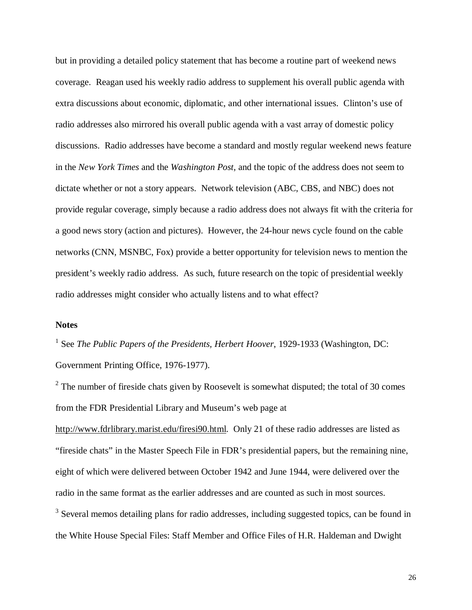but in providing a detailed policy statement that has become a routine part of weekend news coverage. Reagan used his weekly radio address to supplement his overall public agenda with extra discussions about economic, diplomatic, and other international issues. Clinton's use of radio addresses also mirrored his overall public agenda with a vast array of domestic policy discussions. Radio addresses have become a standard and mostly regular weekend news feature in the *New York Times* and the *Washington Post*, and the topic of the address does not seem to dictate whether or not a story appears. Network television (ABC, CBS, and NBC) does not provide regular coverage, simply because a radio address does not always fit with the criteria for a good news story (action and pictures). However, the 24-hour news cycle found on the cable networks (CNN, MSNBC, Fox) provide a better opportunity for television news to mention the president's weekly radio address. As such, future research on the topic of presidential weekly radio addresses might consider who actually listens and to what effect?

#### **Notes**

<sup>1</sup> See *The Public Papers of the Presidents, Herbert Hoover*, 1929-1933 (Washington, DC: Government Printing Office, 1976-1977).

 $2^{\circ}$  The number of fireside chats given by Roosevelt is somewhat disputed; the total of 30 comes from the FDR Presidential Library and Museum's web page at

[http://www.fdrlibrary.marist.edu/firesi90.html.](http://www.fdrlibrary.marist.edu/firesi90.html) Only 21 of these radio addresses are listed as "fireside chats" in the Master Speech File in FDR's presidential papers, but the remaining nine, eight of which were delivered between October 1942 and June 1944, were delivered over the radio in the same format as the earlier addresses and are counted as such in most sources.  $3$  Several memos detailing plans for radio addresses, including suggested topics, can be found in the White House Special Files: Staff Member and Office Files of H.R. Haldeman and Dwight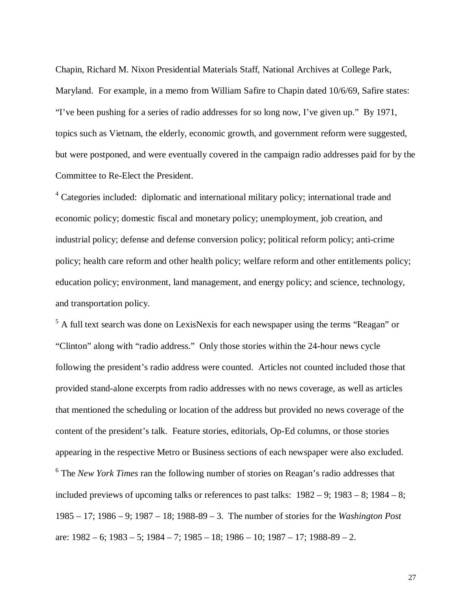Chapin, Richard M. Nixon Presidential Materials Staff, National Archives at College Park, Maryland. For example, in a memo from William Safire to Chapin dated 10/6/69, Safire states: "I've been pushing for a series of radio addresses for so long now, I've given up." By 1971, topics such as Vietnam, the elderly, economic growth, and government reform were suggested, but were postponed, and were eventually covered in the campaign radio addresses paid for by the Committee to Re-Elect the President.

<sup>4</sup> Categories included: diplomatic and international military policy; international trade and economic policy; domestic fiscal and monetary policy; unemployment, job creation, and industrial policy; defense and defense conversion policy; political reform policy; anti-crime policy; health care reform and other health policy; welfare reform and other entitlements policy; education policy; environment, land management, and energy policy; and science, technology, and transportation policy.

<span id="page-28-2"></span><span id="page-28-1"></span><span id="page-28-0"></span> $<sup>5</sup>$  A full text search was done on LexisNexis for each newspaper using the terms "Reagan" or</sup> "Clinton" along with "radio address." Only those stories within the 24-hour news cycle following the president's radio address were counted. Articles not counted included those that provided stand-alone excerpts from radio addresses with no news coverage, as well as articles that mentioned the scheduling or location of the address but provided no news coverage of the content of the president's talk. Feature stories, editorials, Op-Ed columns, or those stories appearing in the respective Metro or Business sections of each newspaper were also excluded. <sup>6</sup> The *New York Times* ran the following number of stories on Reagan's radio addresses that included previews of upcoming talks or references to past talks: 1982 – 9; 1983 – 8; 1984 – 8; 1985 – 17; 1986 – 9; 1987 – 18; 1988-89 – 3. The number of stories for the *Washington Post* are:  $1982 - 6$ ;  $1983 - 5$ ;  $1984 - 7$ ;  $1985 - 18$ ;  $1986 - 10$ ;  $1987 - 17$ ;  $1988 - 89 - 2$ .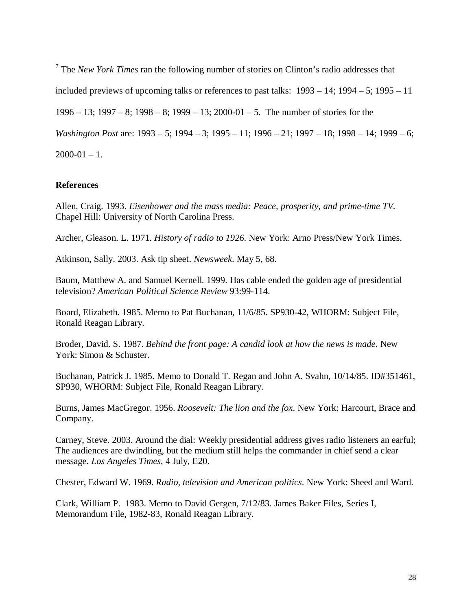<span id="page-29-3"></span><sup>7</sup> The *New York Times* ran the following number of stories on Clinton's radio addresses that included previews of upcoming talks or references to past talks: 1993 – 14; 1994 – 5; 1995 – 11 1996 – 13; 1997 – 8; 1998 – 8; 1999 – 13; 2000-01 – 5. The number of stories for the *Washington Post* are: 1993 – 5; 1994 – 3; 1995 – 11; 1996 – 21; 1997 – 18; 1998 – 14; 1999 – 6;  $2000-01-1$ .

#### **References**

<span id="page-29-0"></span>Allen, Craig. 1993. *Eisenhower and the mass media: Peace, prosperity, and prime-time TV.* Chapel Hill: University of North Carolina Press.

Archer, Gleason. L. 1971. *History of radio to 1926*. New York: Arno Press/New York Times.

Atkinson, Sally. 2003. Ask tip sheet. *Newsweek*. May 5, 68.

Baum, Matthew A. and Samuel Kernell. 1999. Has cable ended the golden age of presidential television? *American Political Science Review* 93:99-114.

<span id="page-29-1"></span>Board, Elizabeth. 1985. Memo to Pat Buchanan, 11/6/85. SP930-42, WHORM: Subject File, Ronald Reagan Library.

Broder, David. S. 1987. *Behind the front page: A candid look at how the news is made*. New York: Simon & Schuster.

Buchanan, Patrick J. 1985. Memo to Donald T. Regan and John A. Svahn, 10/14/85. ID#351461, SP930, WHORM: Subject File, Ronald Reagan Library.

Burns, James MacGregor. 1956. *Roosevelt: The lion and the fox*. New York: Harcourt, Brace and Company.

Carney, Steve. 2003. Around the dial: Weekly presidential address gives radio listeners an earful; The audiences are dwindling, but the medium still helps the commander in chief send a clear message. *Los Angeles Times*, 4 July, E20.

<span id="page-29-2"></span>Chester, Edward W. 1969. *Radio, television and American politics*. New York: Sheed and Ward.

Clark, William P. 1983. Memo to David Gergen, 7/12/83. James Baker Files, Series I, Memorandum File, 1982-83, Ronald Reagan Library.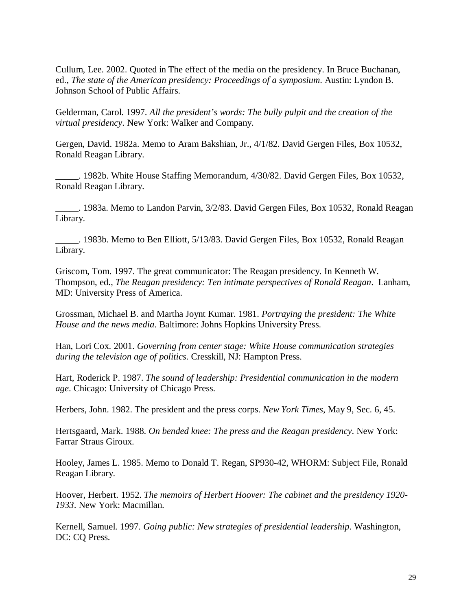Cullum, Lee. 2002. Quoted in The effect of the media on the presidency. In Bruce Buchanan, ed., *The state of the American presidency: Proceedings of a symposium*. Austin: Lyndon B. Johnson School of Public Affairs.

Gelderman, Carol. 1997. *All the president's words: The bully pulpit and the creation of the virtual presidency*. New York: Walker and Company.

Gergen, David. 1982a. Memo to Aram Bakshian, Jr., 4/1/82. David Gergen Files, Box 10532, Ronald Reagan Library.

\_\_\_\_\_. 1982b. White House Staffing Memorandum, 4/30/82. David Gergen Files, Box 10532, Ronald Reagan Library.

\_\_\_\_\_. 1983a. Memo to Landon Parvin, 3/2/83. David Gergen Files, Box 10532, Ronald Reagan Library.

\_\_\_\_\_. 1983b. Memo to Ben Elliott, 5/13/83. David Gergen Files, Box 10532, Ronald Reagan Library.

Griscom, Tom. 1997. The great communicator: The Reagan presidency. In Kenneth W. Thompson, ed., *The Reagan presidency: Ten intimate perspectives of Ronald Reagan*. Lanham, MD: University Press of America.

Grossman, Michael B. and Martha Joynt Kumar. 1981. *Portraying the president: The White House and the news media*. Baltimore: Johns Hopkins University Press.

Han, Lori Cox. 2001. *Governing from center stage: White House communication strategies during the television age of politics*. Cresskill, NJ: Hampton Press.

Hart, Roderick P. 1987. *The sound of leadership: Presidential communication in the modern age*. Chicago: University of Chicago Press.

Herbers, John. 1982. The president and the press corps. *New York Times*, May 9, Sec. 6, 45.

Hertsgaard, Mark. 1988. *On bended knee: The press and the Reagan presidency*. New York: Farrar Straus Giroux.

Hooley, James L. 1985. Memo to Donald T. Regan, SP930-42, WHORM: Subject File, Ronald Reagan Library.

Hoover, Herbert. 1952. *The memoirs of Herbert Hoover: The cabinet and the presidency 1920- 1933*. New York: Macmillan.

Kernell, Samuel. 1997. *Going public: New strategies of presidential leadership*. Washington, DC: CQ Press.